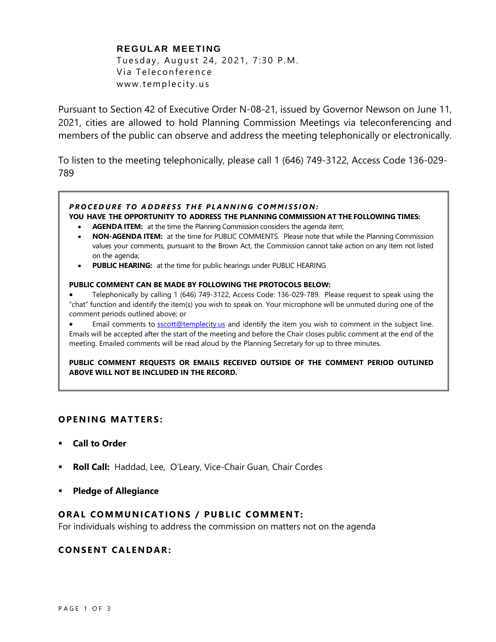# **REGULAR MEETING**

Tuesday, August 24, 2021, 7:30 P.M. Via Teleconference www.templecity.us

Pursuant to Section 42 of Executive Order N-08-21, issued by Governor Newson on June 11, 2021, cities are allowed to hold Planning Commission Meetings via teleconferencing and members of the public can observe and address the meeting telephonically or electronically.

To listen to the meeting telephonically, please call 1 (646) 749-3122, Access Code 136-029- 789

## *P R O C E D U R E T O A D D R E S S T H E P L A N N I N G C O M M I S S I O N :*

### **YOU HAVE THE OPPORTUNITY TO ADDRESS THE PLANNING COMMISSION AT THE FOLLOWING TIMES:**

- **AGENDA ITEM:** at the time the Planning Commission considers the agenda item;
- **NON-AGENDA ITEM:** at the time for PUBLIC COMMENTS. Please note that while the Planning Commission values your comments, pursuant to the Brown Act, the Commission cannot take action on any item not listed on the agenda;
- **PUBLIC HEARING:** at the time for public hearings under PUBLIC HEARING

#### **PUBLIC COMMENT CAN BE MADE BY FOLLOWING THE PROTOCOLS BELOW:**

- Telephonically by calling 1 (646) 749-3122, Access Code: 136-029-789. Please request to speak using the "chat" function and identify the item(s) you wish to speak on. Your microphone will be unmuted during one of the comment periods outlined above; or
- Email comments to **[sscott@templecity.us](mailto:sscott@templecity.us)** and identify the item you wish to comment in the subject line. Emails will be accepted after the start of the meeting and before the Chair closes public comment at the end of the meeting. Emailed comments will be read aloud by the Planning Secretary for up to three minutes.

**PUBLIC COMMENT REQUESTS OR EMAILS RECEIVED OUTSIDE OF THE COMMENT PERIOD OUTLINED ABOVE WILL NOT BE INCLUDED IN THE RECORD.**

## **OPEN ING MAT TERS :**

- **Call to Order**
- **Roll Call:** Haddad, Lee, O'Leary, Vice-Chair Guan, Chair Cordes
- **Pledge of Allegiance**

# **ORAL COMMUNICATIONS / PUBLIC COMMENT:**

For individuals wishing to address the commission on matters not on the agenda

### **CONSENT CA LENDAR:**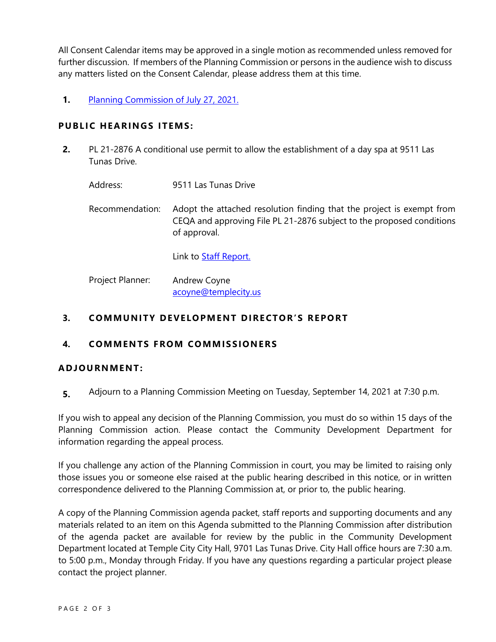All Consent Calendar items may be approved in a single motion as recommended unless removed for further discussion. If members of the Planning Commission or persons in the audience wish to discuss any matters listed on the Consent Calendar, please address them at this time.

**1.** [Planning Commission](https://www.ci.temple-city.ca.us/DocumentCenter/View/16662/PCM-7-27-Minutes) of July 27, 2021.

# **PUBLIC HEARINGS ITEMS:**

- **2.** PL 21-2876 A conditional use permit to allow the establishment of a day spa at 9511 Las Tunas Drive.
	- Address: 9511 Las Tunas Drive
	- Recommendation: Adopt the attached resolution finding that the project is exempt from CEQA and approving File PL 21-2876 subject to the proposed conditions of approval.

Link to [Staff Report.](https://www.ci.temple-city.ca.us/DocumentCenter/View/16644/PL21-2876_9511-Las-Tunas_Full-Package)

Project Planner: Andrew Coyne acoyne@templecity.us

# **3. COMMUNITY DEVELOPMENT DIRECTOR'S REPORT**

# **4. COMMEN TS F ROM COMM ISSIONE RS**

## **ADJOU RNMENT:**

**5.** Adjourn to a Planning Commission Meeting on Tuesday, September 14, 2021 at 7:30 p.m.

If you wish to appeal any decision of the Planning Commission, you must do so within 15 days of the Planning Commission action. Please contact the Community Development Department for information regarding the appeal process.

If you challenge any action of the Planning Commission in court, you may be limited to raising only those issues you or someone else raised at the public hearing described in this notice, or in written correspondence delivered to the Planning Commission at, or prior to, the public hearing.

A copy of the Planning Commission agenda packet, staff reports and supporting documents and any materials related to an item on this Agenda submitted to the Planning Commission after distribution of the agenda packet are available for review by the public in the Community Development Department located at Temple City City Hall, 9701 Las Tunas Drive. City Hall office hours are 7:30 a.m. to 5:00 p.m., Monday through Friday. If you have any questions regarding a particular project please contact the project planner.